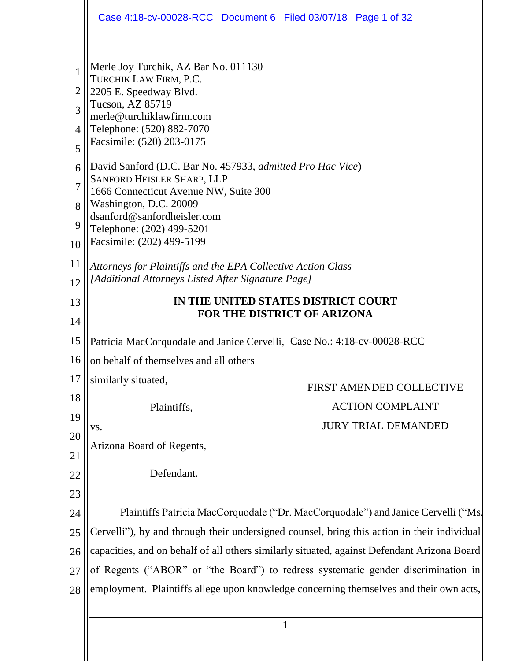|                                                                    | Case 4:18-cv-00028-RCC Document 6 Filed 03/07/18 Page 1 of 32                                                                                                                                                                                                                                                                                                                                                                                                                                                                                                                    |                            |  |
|--------------------------------------------------------------------|----------------------------------------------------------------------------------------------------------------------------------------------------------------------------------------------------------------------------------------------------------------------------------------------------------------------------------------------------------------------------------------------------------------------------------------------------------------------------------------------------------------------------------------------------------------------------------|----------------------------|--|
| 1<br>$\overline{2}$<br>3<br>4<br>5<br>6<br>7<br>8<br>9<br>10<br>11 | Merle Joy Turchik, AZ Bar No. 011130<br>TURCHIK LAW FIRM, P.C.<br>2205 E. Speedway Blvd.<br>Tucson, AZ 85719<br>merle@turchiklawfirm.com<br>Telephone: (520) 882-7070<br>Facsimile: (520) 203-0175<br>David Sanford (D.C. Bar No. 457933, admitted Pro Hac Vice)<br>SANFORD HEISLER SHARP, LLP<br>1666 Connecticut Avenue NW, Suite 300<br>Washington, D.C. 20009<br>dsanford@sanfordheisler.com<br>Telephone: (202) 499-5201<br>Facsimile: (202) 499-5199<br>Attorneys for Plaintiffs and the EPA Collective Action Class<br>[Additional Attorneys Listed After Signature Page] |                            |  |
| 12                                                                 |                                                                                                                                                                                                                                                                                                                                                                                                                                                                                                                                                                                  |                            |  |
| 13<br>14                                                           | IN THE UNITED STATES DISTRICT COURT<br>FOR THE DISTRICT OF ARIZONA                                                                                                                                                                                                                                                                                                                                                                                                                                                                                                               |                            |  |
| 15                                                                 | Patricia MacCorquodale and Janice Cervelli, Case No.: 4:18-cv-00028-RCC                                                                                                                                                                                                                                                                                                                                                                                                                                                                                                          |                            |  |
| 16                                                                 | on behalf of themselves and all others                                                                                                                                                                                                                                                                                                                                                                                                                                                                                                                                           |                            |  |
| 17                                                                 | similarly situated,                                                                                                                                                                                                                                                                                                                                                                                                                                                                                                                                                              |                            |  |
| 18                                                                 |                                                                                                                                                                                                                                                                                                                                                                                                                                                                                                                                                                                  | FIRST AMENDED COLLECTIVE   |  |
| 19                                                                 | Plaintiffs,                                                                                                                                                                                                                                                                                                                                                                                                                                                                                                                                                                      | <b>ACTION COMPLAINT</b>    |  |
| 20                                                                 | VS.                                                                                                                                                                                                                                                                                                                                                                                                                                                                                                                                                                              | <b>JURY TRIAL DEMANDED</b> |  |
| 21                                                                 | Arizona Board of Regents,                                                                                                                                                                                                                                                                                                                                                                                                                                                                                                                                                        |                            |  |
| 22                                                                 | Defendant.                                                                                                                                                                                                                                                                                                                                                                                                                                                                                                                                                                       |                            |  |
| 23                                                                 |                                                                                                                                                                                                                                                                                                                                                                                                                                                                                                                                                                                  |                            |  |
| 24                                                                 |                                                                                                                                                                                                                                                                                                                                                                                                                                                                                                                                                                                  |                            |  |
| 25                                                                 | Plaintiffs Patricia MacCorquodale ("Dr. MacCorquodale") and Janice Cervelli ("Ms.<br>Cervelli"), by and through their undersigned counsel, bring this action in their individual                                                                                                                                                                                                                                                                                                                                                                                                 |                            |  |
| 26                                                                 | capacities, and on behalf of all others similarly situated, against Defendant Arizona Board                                                                                                                                                                                                                                                                                                                                                                                                                                                                                      |                            |  |
| 27                                                                 |                                                                                                                                                                                                                                                                                                                                                                                                                                                                                                                                                                                  |                            |  |
| 28                                                                 | of Regents ("ABOR" or "the Board") to redress systematic gender discrimination in<br>employment. Plaintiffs allege upon knowledge concerning themselves and their own acts,                                                                                                                                                                                                                                                                                                                                                                                                      |                            |  |
|                                                                    |                                                                                                                                                                                                                                                                                                                                                                                                                                                                                                                                                                                  |                            |  |
|                                                                    | $\mathbf{1}$                                                                                                                                                                                                                                                                                                                                                                                                                                                                                                                                                                     |                            |  |
|                                                                    |                                                                                                                                                                                                                                                                                                                                                                                                                                                                                                                                                                                  |                            |  |
|                                                                    |                                                                                                                                                                                                                                                                                                                                                                                                                                                                                                                                                                                  |                            |  |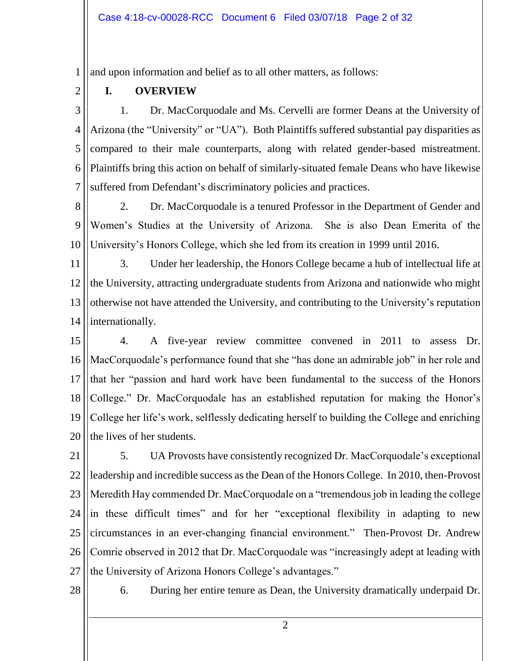1 and upon information and belief as to all other matters, as follows:

2

# **I. OVERVIEW**

3 4 5 6 7 1. Dr. MacCorquodale and Ms. Cervelli are former Deans at the University of Arizona (the "University" or "UA"). Both Plaintiffs suffered substantial pay disparities as compared to their male counterparts, along with related gender-based mistreatment. Plaintiffs bring this action on behalf of similarly-situated female Deans who have likewise suffered from Defendant's discriminatory policies and practices.

8 9 10 2. Dr. MacCorquodale is a tenured Professor in the Department of Gender and Women's Studies at the University of Arizona. She is also Dean Emerita of the University's Honors College, which she led from its creation in 1999 until 2016.

11 12 13 14 3. Under her leadership, the Honors College became a hub of intellectual life at the University, attracting undergraduate students from Arizona and nationwide who might otherwise not have attended the University, and contributing to the University's reputation internationally.

15 16 17 18 19 20 4. A five-year review committee convened in 2011 to assess Dr. MacCorquodale's performance found that she "has done an admirable job" in her role and that her "passion and hard work have been fundamental to the success of the Honors College." Dr. MacCorquodale has an established reputation for making the Honor's College her life's work, selflessly dedicating herself to building the College and enriching the lives of her students.

21 22 23 24 25 26 27 5. UA Provosts have consistently recognized Dr. MacCorquodale's exceptional leadership and incredible success as the Dean of the Honors College. In 2010, then-Provost Meredith Hay commended Dr. MacCorquodale on a "tremendous job in leading the college in these difficult times" and for her "exceptional flexibility in adapting to new circumstances in an ever-changing financial environment." Then-Provost Dr. Andrew Comrie observed in 2012 that Dr. MacCorquodale was "increasingly adept at leading with the University of Arizona Honors College's advantages."

28

6. During her entire tenure as Dean, the University dramatically underpaid Dr.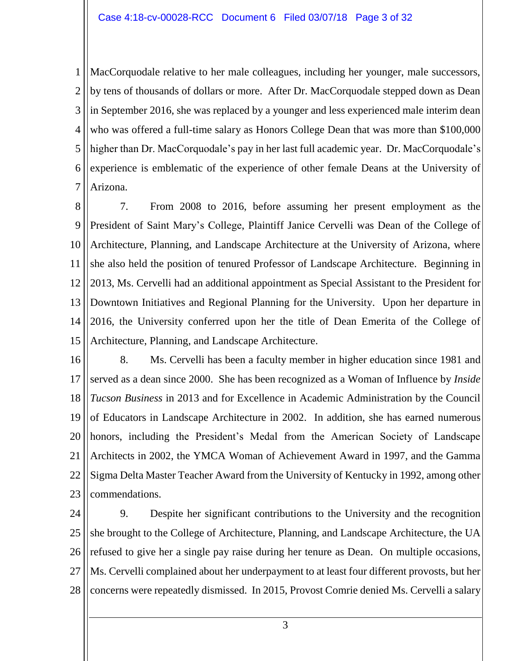1 2 3 4 5 6 7 MacCorquodale relative to her male colleagues, including her younger, male successors, by tens of thousands of dollars or more. After Dr. MacCorquodale stepped down as Dean in September 2016, she was replaced by a younger and less experienced male interim dean who was offered a full-time salary as Honors College Dean that was more than \$100,000 higher than Dr. MacCorquodale's pay in her last full academic year. Dr. MacCorquodale's experience is emblematic of the experience of other female Deans at the University of Arizona.

8 9 10 11 12 13 14 15 7. From 2008 to 2016, before assuming her present employment as the President of Saint Mary's College, Plaintiff Janice Cervelli was Dean of the College of Architecture, Planning, and Landscape Architecture at the University of Arizona, where she also held the position of tenured Professor of Landscape Architecture. Beginning in 2013, Ms. Cervelli had an additional appointment as Special Assistant to the President for Downtown Initiatives and Regional Planning for the University. Upon her departure in 2016, the University conferred upon her the title of Dean Emerita of the College of Architecture, Planning, and Landscape Architecture.

16 17 18 19 20 21 22 23 8. Ms. Cervelli has been a faculty member in higher education since 1981 and served as a dean since 2000. She has been recognized as a Woman of Influence by *Inside Tucson Business* in 2013 and for Excellence in Academic Administration by the Council of Educators in Landscape Architecture in 2002. In addition, she has earned numerous honors, including the President's Medal from the American Society of Landscape Architects in 2002, the YMCA Woman of Achievement Award in 1997, and the Gamma Sigma Delta Master Teacher Award from the University of Kentucky in 1992, among other commendations.

24 25 26 27 28 9. Despite her significant contributions to the University and the recognition she brought to the College of Architecture, Planning, and Landscape Architecture, the UA refused to give her a single pay raise during her tenure as Dean. On multiple occasions, Ms. Cervelli complained about her underpayment to at least four different provosts, but her concerns were repeatedly dismissed. In 2015, Provost Comrie denied Ms. Cervelli a salary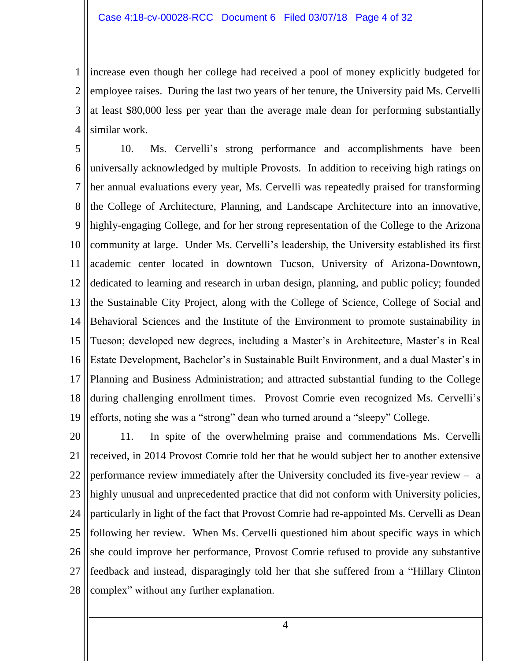1 2 3 4 increase even though her college had received a pool of money explicitly budgeted for employee raises. During the last two years of her tenure, the University paid Ms. Cervelli at least \$80,000 less per year than the average male dean for performing substantially similar work.

5 6 7 8 9 10 11 12 13 14 15 16 17 18 19 10. Ms. Cervelli's strong performance and accomplishments have been universally acknowledged by multiple Provosts. In addition to receiving high ratings on her annual evaluations every year, Ms. Cervelli was repeatedly praised for transforming the College of Architecture, Planning, and Landscape Architecture into an innovative, highly-engaging College, and for her strong representation of the College to the Arizona community at large. Under Ms. Cervelli's leadership, the University established its first academic center located in downtown Tucson, University of Arizona-Downtown, dedicated to learning and research in urban design, planning, and public policy; founded the Sustainable City Project, along with the College of Science, College of Social and Behavioral Sciences and the Institute of the Environment to promote sustainability in Tucson; developed new degrees, including a Master's in Architecture, Master's in Real Estate Development, Bachelor's in Sustainable Built Environment, and a dual Master's in Planning and Business Administration; and attracted substantial funding to the College during challenging enrollment times. Provost Comrie even recognized Ms. Cervelli's efforts, noting she was a "strong" dean who turned around a "sleepy" College.

20 21 22 23 24 25 26 27 28 11. In spite of the overwhelming praise and commendations Ms. Cervelli received, in 2014 Provost Comrie told her that he would subject her to another extensive performance review immediately after the University concluded its five-year review – a highly unusual and unprecedented practice that did not conform with University policies, particularly in light of the fact that Provost Comrie had re-appointed Ms. Cervelli as Dean following her review. When Ms. Cervelli questioned him about specific ways in which she could improve her performance, Provost Comrie refused to provide any substantive feedback and instead, disparagingly told her that she suffered from a "Hillary Clinton complex" without any further explanation.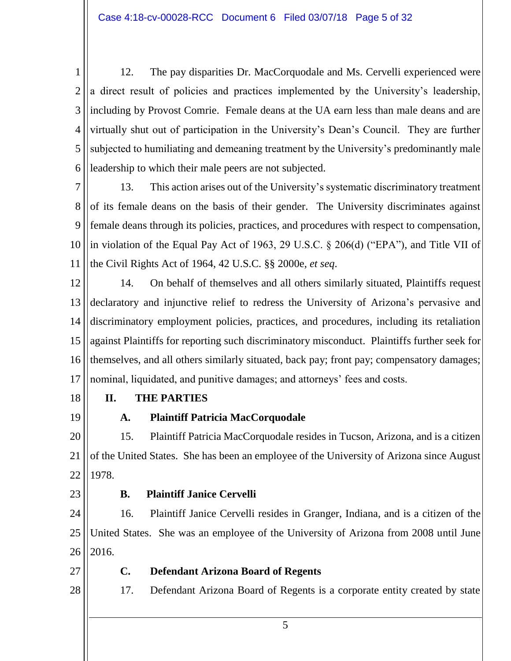1 2 3 4 5 6 12. The pay disparities Dr. MacCorquodale and Ms. Cervelli experienced were a direct result of policies and practices implemented by the University's leadership, including by Provost Comrie. Female deans at the UA earn less than male deans and are virtually shut out of participation in the University's Dean's Council. They are further subjected to humiliating and demeaning treatment by the University's predominantly male leadership to which their male peers are not subjected.

7 8 9 10 11 13. This action arises out of the University's systematic discriminatory treatment of its female deans on the basis of their gender. The University discriminates against female deans through its policies, practices, and procedures with respect to compensation, in violation of the Equal Pay Act of 1963, 29 U.S.C. § 206(d) ("EPA"), and Title VII of the Civil Rights Act of 1964, 42 U.S.C. §§ 2000e, *et seq*.

12 13 14 15 16 17 14. On behalf of themselves and all others similarly situated, Plaintiffs request declaratory and injunctive relief to redress the University of Arizona's pervasive and discriminatory employment policies, practices, and procedures, including its retaliation against Plaintiffs for reporting such discriminatory misconduct. Plaintiffs further seek for themselves, and all others similarly situated, back pay; front pay; compensatory damages; nominal, liquidated, and punitive damages; and attorneys' fees and costs.

18

# **II. THE PARTIES**

19

# **A. Plaintiff Patricia MacCorquodale**

20 21 22 15. Plaintiff Patricia MacCorquodale resides in Tucson, Arizona, and is a citizen of the United States. She has been an employee of the University of Arizona since August 1978.

23

# **B. Plaintiff Janice Cervelli**

24 25 26 16. Plaintiff Janice Cervelli resides in Granger, Indiana, and is a citizen of the United States. She was an employee of the University of Arizona from 2008 until June 2016.

27

28

# **C. Defendant Arizona Board of Regents**

17. Defendant Arizona Board of Regents is a corporate entity created by state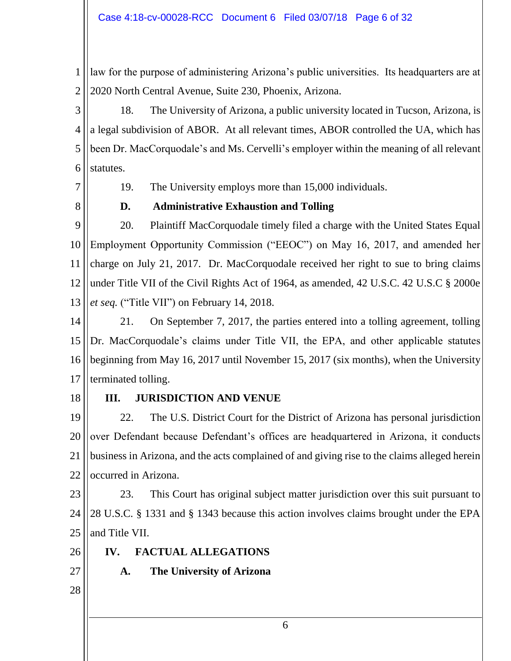1 2 law for the purpose of administering Arizona's public universities. Its headquarters are at 2020 North Central Avenue, Suite 230, Phoenix, Arizona.

3 4 5 6 18. The University of Arizona, a public university located in Tucson, Arizona, is a legal subdivision of ABOR. At all relevant times, ABOR controlled the UA, which has been Dr. MacCorquodale's and Ms. Cervelli's employer within the meaning of all relevant statutes.

7

19. The University employs more than 15,000 individuals.

8

### **D. Administrative Exhaustion and Tolling**

9 10 11 12 13 20. Plaintiff MacCorquodale timely filed a charge with the United States Equal Employment Opportunity Commission ("EEOC") on May 16, 2017, and amended her charge on July 21, 2017. Dr. MacCorquodale received her right to sue to bring claims under Title VII of the Civil Rights Act of 1964, as amended, 42 U.S.C. 42 U.S.C § 2000e *et seq.* ("Title VII") on February 14, 2018.

14 15 16 17 21. On September 7, 2017, the parties entered into a tolling agreement, tolling Dr. MacCorquodale's claims under Title VII, the EPA, and other applicable statutes beginning from May 16, 2017 until November 15, 2017 (six months), when the University terminated tolling.

18

#### **III. JURISDICTION AND VENUE**

19 20 21 22 22. The U.S. District Court for the District of Arizona has personal jurisdiction over Defendant because Defendant's offices are headquartered in Arizona, it conducts business in Arizona, and the acts complained of and giving rise to the claims alleged herein occurred in Arizona.

23 24 25 23. This Court has original subject matter jurisdiction over this suit pursuant to 28 U.S.C. § 1331 and § 1343 because this action involves claims brought under the EPA and Title VII.

26 **IV. FACTUAL ALLEGATIONS**

**A. The University of Arizona**

- 27
- 28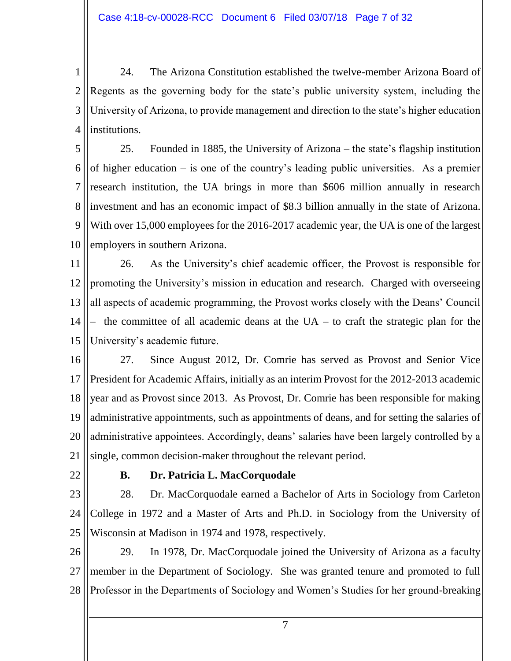1 2 3 4 24. The Arizona Constitution established the twelve-member Arizona Board of Regents as the governing body for the state's public university system, including the University of Arizona, to provide management and direction to the state's higher education institutions.

5 6 7 8 9 10 25. Founded in 1885, the University of Arizona – the state's flagship institution of higher education – is one of the country's leading public universities. As a premier research institution, the UA brings in more than \$606 million annually in research investment and has an economic impact of \$8.3 billion annually in the state of Arizona. With over 15,000 employees for the 2016-2017 academic year, the UA is one of the largest employers in southern Arizona.

11 12 13 14 15 26. As the University's chief academic officer, the Provost is responsible for promoting the University's mission in education and research. Charged with overseeing all aspects of academic programming, the Provost works closely with the Deans' Council the committee of all academic deans at the  $UA -$  to craft the strategic plan for the University's academic future.

16 17 18 19 20 21 27. Since August 2012, Dr. Comrie has served as Provost and Senior Vice President for Academic Affairs, initially as an interim Provost for the 2012-2013 academic year and as Provost since 2013. As Provost, Dr. Comrie has been responsible for making administrative appointments, such as appointments of deans, and for setting the salaries of administrative appointees. Accordingly, deans' salaries have been largely controlled by a single, common decision-maker throughout the relevant period.

22

#### **B. Dr. Patricia L. MacCorquodale**

23 24 25 28. Dr. MacCorquodale earned a Bachelor of Arts in Sociology from Carleton College in 1972 and a Master of Arts and Ph.D. in Sociology from the University of Wisconsin at Madison in 1974 and 1978, respectively.

26 27 28 29. In 1978, Dr. MacCorquodale joined the University of Arizona as a faculty member in the Department of Sociology. She was granted tenure and promoted to full Professor in the Departments of Sociology and Women's Studies for her ground-breaking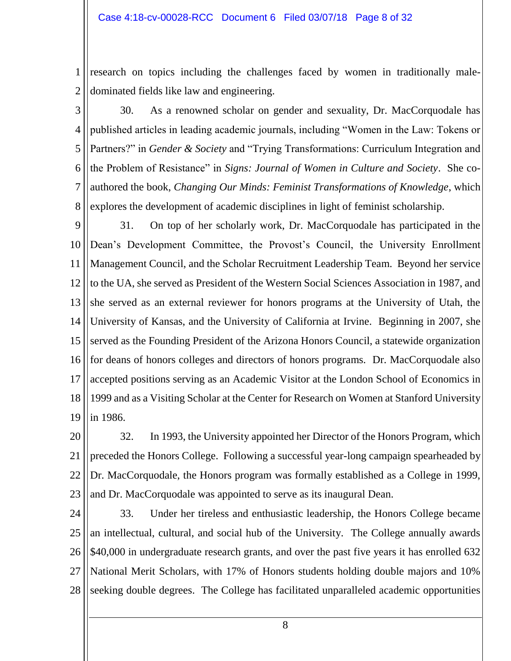1 2 research on topics including the challenges faced by women in traditionally maledominated fields like law and engineering.

3

4

5

6

7

8

30. As a renowned scholar on gender and sexuality, Dr. MacCorquodale has published articles in leading academic journals, including "Women in the Law: Tokens or Partners?" in *Gender & Society* and "Trying Transformations: Curriculum Integration and the Problem of Resistance" in *Signs: Journal of Women in Culture and Society*. She coauthored the book, *Changing Our Minds: Feminist Transformations of Knowledge*, which explores the development of academic disciplines in light of feminist scholarship.

9 10 11 12 13 14 15 16 17 18 19 31. On top of her scholarly work, Dr. MacCorquodale has participated in the Dean's Development Committee, the Provost's Council, the University Enrollment Management Council, and the Scholar Recruitment Leadership Team. Beyond her service to the UA, she served as President of the Western Social Sciences Association in 1987, and she served as an external reviewer for honors programs at the University of Utah, the University of Kansas, and the University of California at Irvine. Beginning in 2007, she served as the Founding President of the Arizona Honors Council, a statewide organization for deans of honors colleges and directors of honors programs. Dr. MacCorquodale also accepted positions serving as an Academic Visitor at the London School of Economics in 1999 and as a Visiting Scholar at the Center for Research on Women at Stanford University in 1986.

20 21 22 23 32. In 1993, the University appointed her Director of the Honors Program, which preceded the Honors College. Following a successful year-long campaign spearheaded by Dr. MacCorquodale, the Honors program was formally established as a College in 1999, and Dr. MacCorquodale was appointed to serve as its inaugural Dean.

24 25 26 27 28 33. Under her tireless and enthusiastic leadership, the Honors College became an intellectual, cultural, and social hub of the University. The College annually awards \$40,000 in undergraduate research grants, and over the past five years it has enrolled 632 National Merit Scholars, with 17% of Honors students holding double majors and 10% seeking double degrees. The College has facilitated unparalleled academic opportunities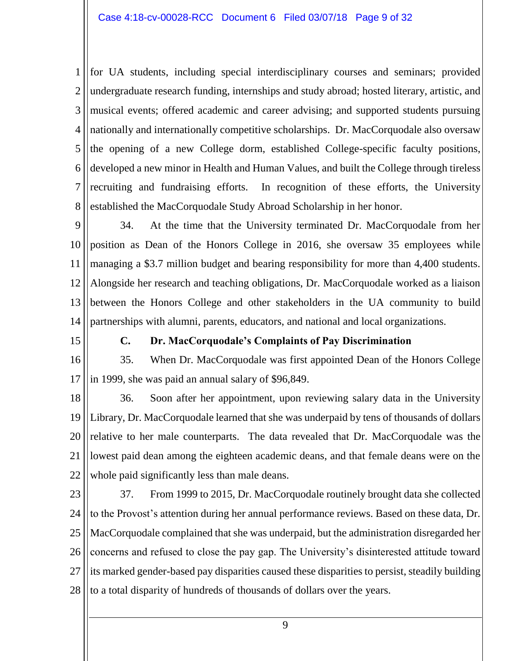1 2 3 4 5 6 7 8 for UA students, including special interdisciplinary courses and seminars; provided undergraduate research funding, internships and study abroad; hosted literary, artistic, and musical events; offered academic and career advising; and supported students pursuing nationally and internationally competitive scholarships. Dr. MacCorquodale also oversaw the opening of a new College dorm, established College-specific faculty positions, developed a new minor in Health and Human Values, and built the College through tireless recruiting and fundraising efforts. In recognition of these efforts, the University established the MacCorquodale Study Abroad Scholarship in her honor.

9 10 11 12 13 14 34. At the time that the University terminated Dr. MacCorquodale from her position as Dean of the Honors College in 2016, she oversaw 35 employees while managing a \$3.7 million budget and bearing responsibility for more than 4,400 students. Alongside her research and teaching obligations, Dr. MacCorquodale worked as a liaison between the Honors College and other stakeholders in the UA community to build partnerships with alumni, parents, educators, and national and local organizations.

15

#### **C. Dr. MacCorquodale's Complaints of Pay Discrimination**

16 17 35. When Dr. MacCorquodale was first appointed Dean of the Honors College in 1999, she was paid an annual salary of \$96,849.

18 19 20 21 22 36. Soon after her appointment, upon reviewing salary data in the University Library, Dr. MacCorquodale learned that she was underpaid by tens of thousands of dollars relative to her male counterparts. The data revealed that Dr. MacCorquodale was the lowest paid dean among the eighteen academic deans, and that female deans were on the whole paid significantly less than male deans.

- 23 24 25 26 27 28 37. From 1999 to 2015, Dr. MacCorquodale routinely brought data she collected to the Provost's attention during her annual performance reviews. Based on these data, Dr. MacCorquodale complained that she was underpaid, but the administration disregarded her concerns and refused to close the pay gap. The University's disinterested attitude toward its marked gender-based pay disparities caused these disparities to persist, steadily building to a total disparity of hundreds of thousands of dollars over the years.
	- 9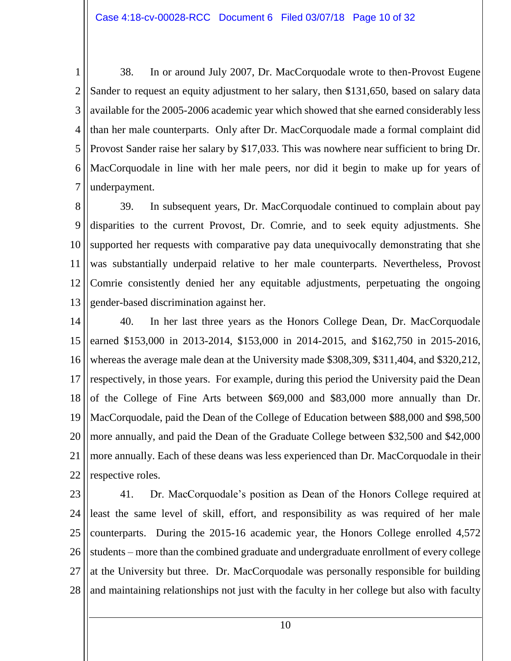1 2 3 4 5 6 7 38. In or around July 2007, Dr. MacCorquodale wrote to then-Provost Eugene Sander to request an equity adjustment to her salary, then \$131,650, based on salary data available for the 2005-2006 academic year which showed that she earned considerably less than her male counterparts. Only after Dr. MacCorquodale made a formal complaint did Provost Sander raise her salary by \$17,033. This was nowhere near sufficient to bring Dr. MacCorquodale in line with her male peers, nor did it begin to make up for years of underpayment.

8 9 10 11 12 13 39. In subsequent years, Dr. MacCorquodale continued to complain about pay disparities to the current Provost, Dr. Comrie, and to seek equity adjustments. She supported her requests with comparative pay data unequivocally demonstrating that she was substantially underpaid relative to her male counterparts. Nevertheless, Provost Comrie consistently denied her any equitable adjustments, perpetuating the ongoing gender-based discrimination against her.

14 15 16 17 18 19 20 21 22 40. In her last three years as the Honors College Dean, Dr. MacCorquodale earned \$153,000 in 2013-2014, \$153,000 in 2014-2015, and \$162,750 in 2015-2016, whereas the average male dean at the University made \$308,309, \$311,404, and \$320,212, respectively, in those years. For example, during this period the University paid the Dean of the College of Fine Arts between \$69,000 and \$83,000 more annually than Dr. MacCorquodale, paid the Dean of the College of Education between \$88,000 and \$98,500 more annually, and paid the Dean of the Graduate College between \$32,500 and \$42,000 more annually. Each of these deans was less experienced than Dr. MacCorquodale in their respective roles.

23 24 25 26 27 28 41. Dr. MacCorquodale's position as Dean of the Honors College required at least the same level of skill, effort, and responsibility as was required of her male counterparts. During the 2015-16 academic year, the Honors College enrolled 4,572 students – more than the combined graduate and undergraduate enrollment of every college at the University but three. Dr. MacCorquodale was personally responsible for building and maintaining relationships not just with the faculty in her college but also with faculty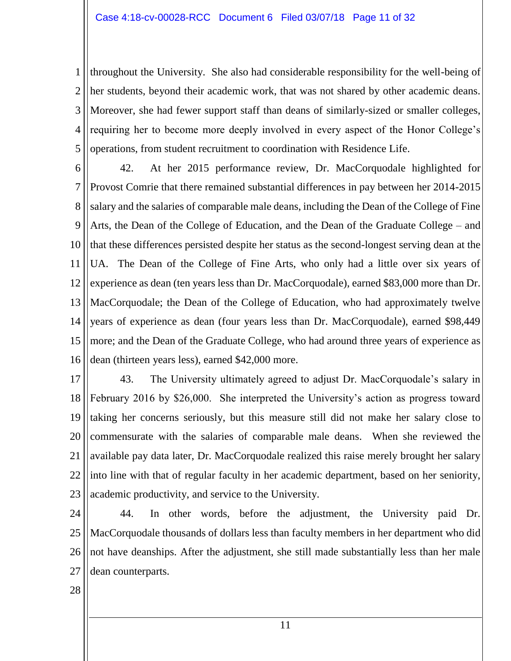1 2 3 4 5 throughout the University. She also had considerable responsibility for the well-being of her students, beyond their academic work, that was not shared by other academic deans. Moreover, she had fewer support staff than deans of similarly-sized or smaller colleges, requiring her to become more deeply involved in every aspect of the Honor College's operations, from student recruitment to coordination with Residence Life.

6 7 8 9 10 11 12 13 14 15 16 42. At her 2015 performance review, Dr. MacCorquodale highlighted for Provost Comrie that there remained substantial differences in pay between her 2014-2015 salary and the salaries of comparable male deans, including the Dean of the College of Fine Arts, the Dean of the College of Education, and the Dean of the Graduate College – and that these differences persisted despite her status as the second-longest serving dean at the UA. The Dean of the College of Fine Arts, who only had a little over six years of experience as dean (ten years less than Dr. MacCorquodale), earned \$83,000 more than Dr. MacCorquodale; the Dean of the College of Education, who had approximately twelve years of experience as dean (four years less than Dr. MacCorquodale), earned \$98,449 more; and the Dean of the Graduate College, who had around three years of experience as dean (thirteen years less), earned \$42,000 more.

17 18 19 20 21 22 23 43. The University ultimately agreed to adjust Dr. MacCorquodale's salary in February 2016 by \$26,000. She interpreted the University's action as progress toward taking her concerns seriously, but this measure still did not make her salary close to commensurate with the salaries of comparable male deans. When she reviewed the available pay data later, Dr. MacCorquodale realized this raise merely brought her salary into line with that of regular faculty in her academic department, based on her seniority, academic productivity, and service to the University.

24 25 26 27 44. In other words, before the adjustment, the University paid Dr. MacCorquodale thousands of dollars less than faculty members in her department who did not have deanships. After the adjustment, she still made substantially less than her male dean counterparts.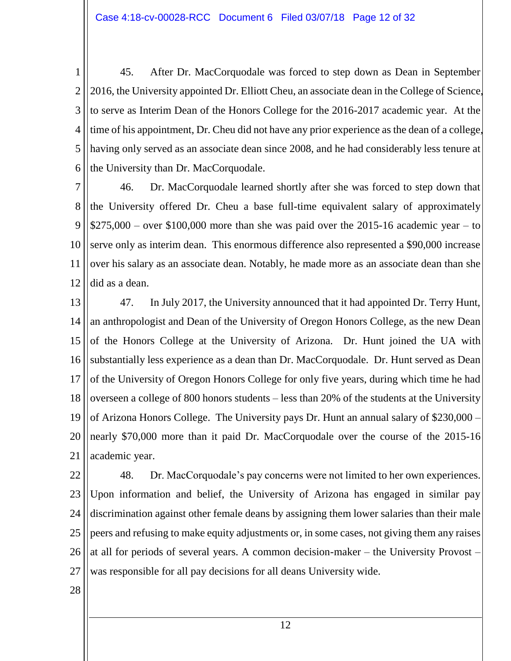1 2 3 4 5 6 45. After Dr. MacCorquodale was forced to step down as Dean in September 2016, the University appointed Dr. Elliott Cheu, an associate dean in the College of Science, to serve as Interim Dean of the Honors College for the 2016-2017 academic year. At the time of his appointment, Dr. Cheu did not have any prior experience as the dean of a college, having only served as an associate dean since 2008, and he had considerably less tenure at the University than Dr. MacCorquodale.

7 8 9 10 11 12 46. Dr. MacCorquodale learned shortly after she was forced to step down that the University offered Dr. Cheu a base full-time equivalent salary of approximately  $$275,000 - over $100,000$  more than she was paid over the 2015-16 academic year – to serve only as interim dean. This enormous difference also represented a \$90,000 increase over his salary as an associate dean. Notably, he made more as an associate dean than she did as a dean.

13 14 15 16 17 18 19 20 21 47. In July 2017, the University announced that it had appointed Dr. Terry Hunt, an anthropologist and Dean of the University of Oregon Honors College, as the new Dean of the Honors College at the University of Arizona. Dr. Hunt joined the UA with substantially less experience as a dean than Dr. MacCorquodale. Dr. Hunt served as Dean of the University of Oregon Honors College for only five years, during which time he had overseen a college of 800 honors students – less than 20% of the students at the University of Arizona Honors College. The University pays Dr. Hunt an annual salary of \$230,000 – nearly \$70,000 more than it paid Dr. MacCorquodale over the course of the 2015-16 academic year.

22 23 24 25 26 27 48. Dr. MacCorquodale's pay concerns were not limited to her own experiences. Upon information and belief, the University of Arizona has engaged in similar pay discrimination against other female deans by assigning them lower salaries than their male peers and refusing to make equity adjustments or, in some cases, not giving them any raises at all for periods of several years. A common decision-maker – the University Provost – was responsible for all pay decisions for all deans University wide.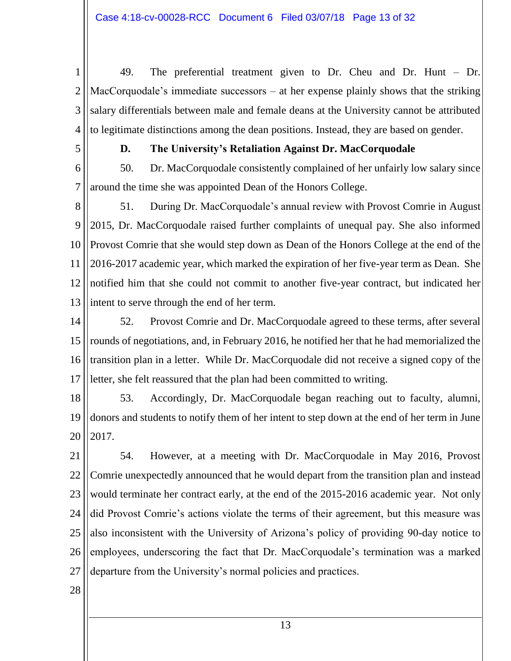1 2 3 4 49. The preferential treatment given to Dr. Cheu and Dr. Hunt – Dr. MacCorquodale's immediate successors – at her expense plainly shows that the striking salary differentials between male and female deans at the University cannot be attributed to legitimate distinctions among the dean positions. Instead, they are based on gender.

5

# **D. The University's Retaliation Against Dr. MacCorquodale**

6 7 50. Dr. MacCorquodale consistently complained of her unfairly low salary since around the time she was appointed Dean of the Honors College.

8 9 10 11 12 13 51. During Dr. MacCorquodale's annual review with Provost Comrie in August 2015, Dr. MacCorquodale raised further complaints of unequal pay. She also informed Provost Comrie that she would step down as Dean of the Honors College at the end of the 2016-2017 academic year, which marked the expiration of her five-year term as Dean. She notified him that she could not commit to another five-year contract, but indicated her intent to serve through the end of her term.

14 15 16 17 52. Provost Comrie and Dr. MacCorquodale agreed to these terms, after several rounds of negotiations, and, in February 2016, he notified her that he had memorialized the transition plan in a letter. While Dr. MacCorquodale did not receive a signed copy of the letter, she felt reassured that the plan had been committed to writing.

18 19 20 53. Accordingly, Dr. MacCorquodale began reaching out to faculty, alumni, donors and students to notify them of her intent to step down at the end of her term in June 2017.

21 22 23 24 25 26 27 54. However, at a meeting with Dr. MacCorquodale in May 2016, Provost Comrie unexpectedly announced that he would depart from the transition plan and instead would terminate her contract early, at the end of the 2015-2016 academic year. Not only did Provost Comrie's actions violate the terms of their agreement, but this measure was also inconsistent with the University of Arizona's policy of providing 90-day notice to employees, underscoring the fact that Dr. MacCorquodale's termination was a marked departure from the University's normal policies and practices.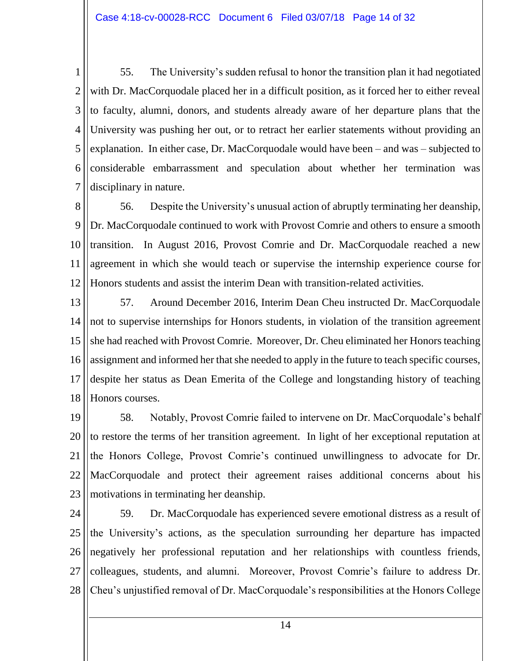1 2 3 4 5 6 7 55. The University's sudden refusal to honor the transition plan it had negotiated with Dr. MacCorquodale placed her in a difficult position, as it forced her to either reveal to faculty, alumni, donors, and students already aware of her departure plans that the University was pushing her out, or to retract her earlier statements without providing an explanation. In either case, Dr. MacCorquodale would have been – and was – subjected to considerable embarrassment and speculation about whether her termination was disciplinary in nature.

8 9 10 11 12 56. Despite the University's unusual action of abruptly terminating her deanship, Dr. MacCorquodale continued to work with Provost Comrie and others to ensure a smooth transition. In August 2016, Provost Comrie and Dr. MacCorquodale reached a new agreement in which she would teach or supervise the internship experience course for Honors students and assist the interim Dean with transition-related activities.

13 14 15 16 17 18 57. Around December 2016, Interim Dean Cheu instructed Dr. MacCorquodale not to supervise internships for Honors students, in violation of the transition agreement she had reached with Provost Comrie. Moreover, Dr. Cheu eliminated her Honors teaching assignment and informed her that she needed to apply in the future to teach specific courses, despite her status as Dean Emerita of the College and longstanding history of teaching Honors courses.

19 20 21 22 23 58. Notably, Provost Comrie failed to intervene on Dr. MacCorquodale's behalf to restore the terms of her transition agreement. In light of her exceptional reputation at the Honors College, Provost Comrie's continued unwillingness to advocate for Dr. MacCorquodale and protect their agreement raises additional concerns about his motivations in terminating her deanship.

24 25 26 27 28 59. Dr. MacCorquodale has experienced severe emotional distress as a result of the University's actions, as the speculation surrounding her departure has impacted negatively her professional reputation and her relationships with countless friends, colleagues, students, and alumni. Moreover, Provost Comrie's failure to address Dr. Cheu's unjustified removal of Dr. MacCorquodale's responsibilities at the Honors College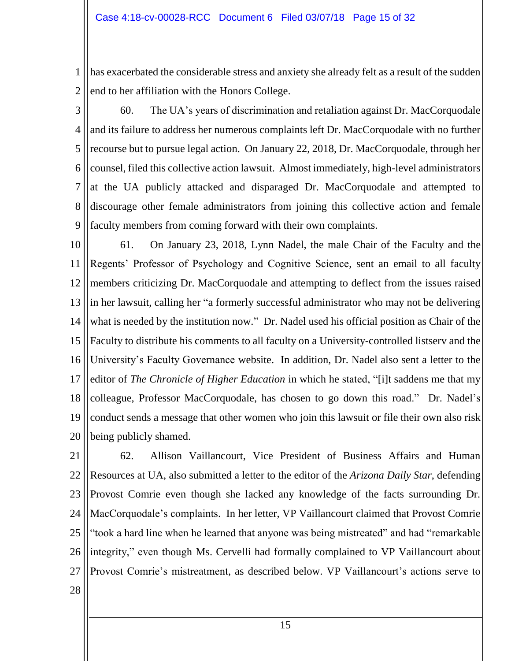1 2 has exacerbated the considerable stress and anxiety she already felt as a result of the sudden end to her affiliation with the Honors College.

3

4 5 6 7 8 9 60. The UA's years of discrimination and retaliation against Dr. MacCorquodale and its failure to address her numerous complaints left Dr. MacCorquodale with no further recourse but to pursue legal action. On January 22, 2018, Dr. MacCorquodale, through her counsel, filed this collective action lawsuit. Almost immediately, high-level administrators at the UA publicly attacked and disparaged Dr. MacCorquodale and attempted to discourage other female administrators from joining this collective action and female faculty members from coming forward with their own complaints.

10 11 12 13 14 15 16 17 18 19 20 61. On January 23, 2018, Lynn Nadel, the male Chair of the Faculty and the Regents' Professor of Psychology and Cognitive Science, sent an email to all faculty members criticizing Dr. MacCorquodale and attempting to deflect from the issues raised in her lawsuit, calling her "a formerly successful administrator who may not be delivering what is needed by the institution now." Dr. Nadel used his official position as Chair of the Faculty to distribute his comments to all faculty on a University-controlled listserv and the University's Faculty Governance website. In addition, Dr. Nadel also sent a letter to the editor of *The Chronicle of Higher Education* in which he stated, "[i]t saddens me that my colleague, Professor MacCorquodale, has chosen to go down this road." Dr. Nadel's conduct sends a message that other women who join this lawsuit or file their own also risk being publicly shamed.

21 22 23 24 25 26 27 62. Allison Vaillancourt, Vice President of Business Affairs and Human Resources at UA, also submitted a letter to the editor of the *Arizona Daily Star*, defending Provost Comrie even though she lacked any knowledge of the facts surrounding Dr. MacCorquodale's complaints. In her letter, VP Vaillancourt claimed that Provost Comrie "took a hard line when he learned that anyone was being mistreated" and had "remarkable integrity," even though Ms. Cervelli had formally complained to VP Vaillancourt about Provost Comrie's mistreatment, as described below. VP Vaillancourt's actions serve to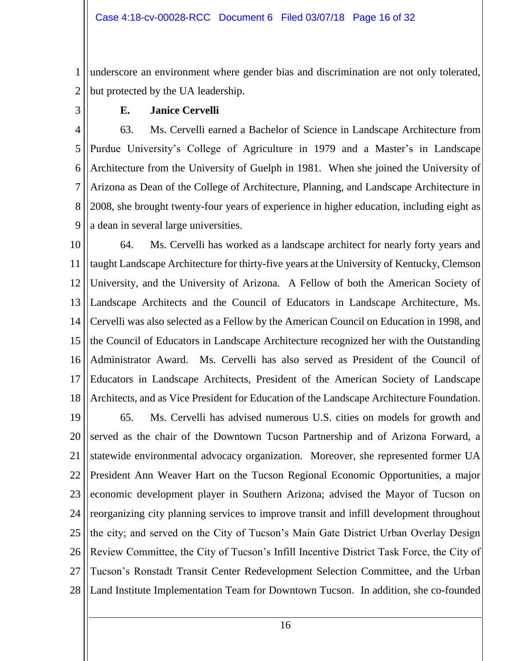1 2 underscore an environment where gender bias and discrimination are not only tolerated, but protected by the UA leadership.

3

## **E. Janice Cervelli**

4 5 6 7 8 9 63. Ms. Cervelli earned a Bachelor of Science in Landscape Architecture from Purdue University's College of Agriculture in 1979 and a Master's in Landscape Architecture from the University of Guelph in 1981. When she joined the University of Arizona as Dean of the College of Architecture, Planning, and Landscape Architecture in 2008, she brought twenty-four years of experience in higher education, including eight as a dean in several large universities.

10 11 12 13 14 15 16 17 18 64. Ms. Cervelli has worked as a landscape architect for nearly forty years and taught Landscape Architecture for thirty-five years at the University of Kentucky, Clemson University, and the University of Arizona. A Fellow of both the American Society of Landscape Architects and the Council of Educators in Landscape Architecture, Ms. Cervelli was also selected as a Fellow by the American Council on Education in 1998, and the Council of Educators in Landscape Architecture recognized her with the Outstanding Administrator Award. Ms. Cervelli has also served as President of the Council of Educators in Landscape Architects, President of the American Society of Landscape Architects, and as Vice President for Education of the Landscape Architecture Foundation.

19 20 21 22 23 24 25 26 27 28 65. Ms. Cervelli has advised numerous U.S. cities on models for growth and served as the chair of the Downtown Tucson Partnership and of Arizona Forward, a statewide environmental advocacy organization. Moreover, she represented former UA President Ann Weaver Hart on the Tucson Regional Economic Opportunities, a major economic development player in Southern Arizona; advised the Mayor of Tucson on reorganizing city planning services to improve transit and infill development throughout the city; and served on the City of Tucson's Main Gate District Urban Overlay Design Review Committee, the City of Tucson's Infill Incentive District Task Force, the City of Tucson's Ronstadt Transit Center Redevelopment Selection Committee, and the Urban Land Institute Implementation Team for Downtown Tucson. In addition, she co-founded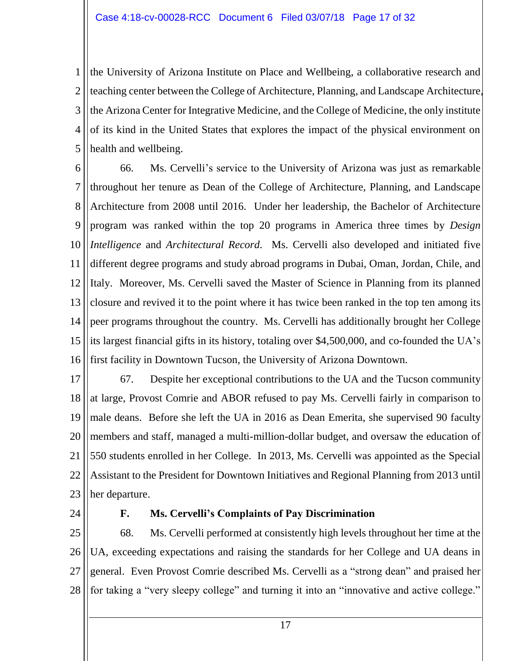1 2 3 4 5 the University of Arizona Institute on Place and Wellbeing, a collaborative research and teaching center between the College of Architecture, Planning, and Landscape Architecture, the Arizona Center for Integrative Medicine, and the College of Medicine, the only institute of its kind in the United States that explores the impact of the physical environment on health and wellbeing.

6 7 8 9 10 11 12 13 14 15 16 66. Ms. Cervelli's service to the University of Arizona was just as remarkable throughout her tenure as Dean of the College of Architecture, Planning, and Landscape Architecture from 2008 until 2016. Under her leadership, the Bachelor of Architecture program was ranked within the top 20 programs in America three times by *Design Intelligence* and *Architectural Record*. Ms. Cervelli also developed and initiated five different degree programs and study abroad programs in Dubai, Oman, Jordan, Chile, and Italy. Moreover, Ms. Cervelli saved the Master of Science in Planning from its planned closure and revived it to the point where it has twice been ranked in the top ten among its peer programs throughout the country. Ms. Cervelli has additionally brought her College its largest financial gifts in its history, totaling over \$4,500,000, and co-founded the UA's first facility in Downtown Tucson, the University of Arizona Downtown.

17 18 19 20 21 22 23 67. Despite her exceptional contributions to the UA and the Tucson community at large, Provost Comrie and ABOR refused to pay Ms. Cervelli fairly in comparison to male deans. Before she left the UA in 2016 as Dean Emerita, she supervised 90 faculty members and staff, managed a multi-million-dollar budget, and oversaw the education of 550 students enrolled in her College. In 2013, Ms. Cervelli was appointed as the Special Assistant to the President for Downtown Initiatives and Regional Planning from 2013 until her departure.

24

#### **F. Ms. Cervelli's Complaints of Pay Discrimination**

25 26 27 28 68. Ms. Cervelli performed at consistently high levels throughout her time at the UA, exceeding expectations and raising the standards for her College and UA deans in general. Even Provost Comrie described Ms. Cervelli as a "strong dean" and praised her for taking a "very sleepy college" and turning it into an "innovative and active college."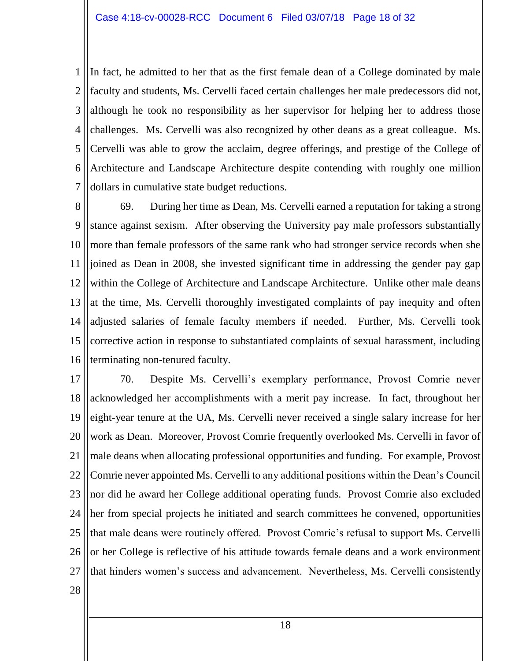1 2 3 4 5 6 7 In fact, he admitted to her that as the first female dean of a College dominated by male faculty and students, Ms. Cervelli faced certain challenges her male predecessors did not, although he took no responsibility as her supervisor for helping her to address those challenges. Ms. Cervelli was also recognized by other deans as a great colleague. Ms. Cervelli was able to grow the acclaim, degree offerings, and prestige of the College of Architecture and Landscape Architecture despite contending with roughly one million dollars in cumulative state budget reductions.

8 9 10 11 12 13 14 15 16 69. During her time as Dean, Ms. Cervelli earned a reputation for taking a strong stance against sexism. After observing the University pay male professors substantially more than female professors of the same rank who had stronger service records when she joined as Dean in 2008, she invested significant time in addressing the gender pay gap within the College of Architecture and Landscape Architecture. Unlike other male deans at the time, Ms. Cervelli thoroughly investigated complaints of pay inequity and often adjusted salaries of female faculty members if needed. Further, Ms. Cervelli took corrective action in response to substantiated complaints of sexual harassment, including terminating non-tenured faculty.

17 18 19 20 21 22 23 24 25 26 27 70. Despite Ms. Cervelli's exemplary performance, Provost Comrie never acknowledged her accomplishments with a merit pay increase. In fact, throughout her eight-year tenure at the UA, Ms. Cervelli never received a single salary increase for her work as Dean. Moreover, Provost Comrie frequently overlooked Ms. Cervelli in favor of male deans when allocating professional opportunities and funding. For example, Provost Comrie never appointed Ms. Cervelli to any additional positions within the Dean's Council nor did he award her College additional operating funds. Provost Comrie also excluded her from special projects he initiated and search committees he convened, opportunities that male deans were routinely offered. Provost Comrie's refusal to support Ms. Cervelli or her College is reflective of his attitude towards female deans and a work environment that hinders women's success and advancement. Nevertheless, Ms. Cervelli consistently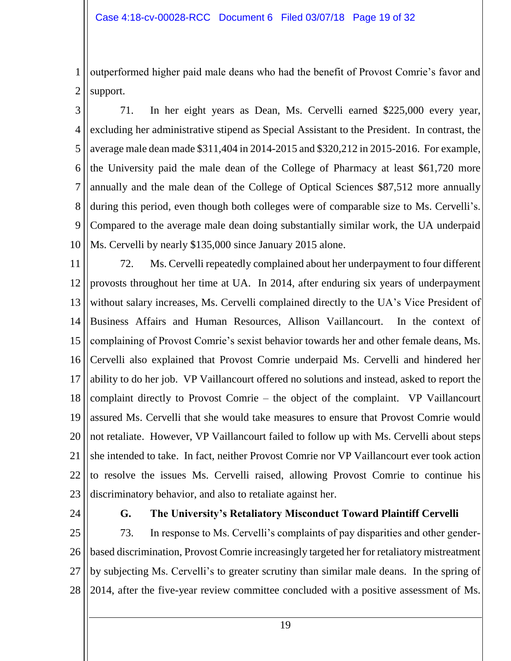1 2 outperformed higher paid male deans who had the benefit of Provost Comrie's favor and support.

3 4 5 6 7 8 9 10 71. In her eight years as Dean, Ms. Cervelli earned \$225,000 every year, excluding her administrative stipend as Special Assistant to the President. In contrast, the average male dean made \$311,404 in 2014-2015 and \$320,212 in 2015-2016. For example, the University paid the male dean of the College of Pharmacy at least \$61,720 more annually and the male dean of the College of Optical Sciences \$87,512 more annually during this period, even though both colleges were of comparable size to Ms. Cervelli's. Compared to the average male dean doing substantially similar work, the UA underpaid Ms. Cervelli by nearly \$135,000 since January 2015 alone.

11 12 13 14 15 16 17 18 19 20 21 22 23 72. Ms. Cervelli repeatedly complained about her underpayment to four different provosts throughout her time at UA. In 2014, after enduring six years of underpayment without salary increases, Ms. Cervelli complained directly to the UA's Vice President of Business Affairs and Human Resources, Allison Vaillancourt. In the context of complaining of Provost Comrie's sexist behavior towards her and other female deans, Ms. Cervelli also explained that Provost Comrie underpaid Ms. Cervelli and hindered her ability to do her job. VP Vaillancourt offered no solutions and instead, asked to report the complaint directly to Provost Comrie – the object of the complaint. VP Vaillancourt assured Ms. Cervelli that she would take measures to ensure that Provost Comrie would not retaliate. However, VP Vaillancourt failed to follow up with Ms. Cervelli about steps she intended to take. In fact, neither Provost Comrie nor VP Vaillancourt ever took action to resolve the issues Ms. Cervelli raised, allowing Provost Comrie to continue his discriminatory behavior, and also to retaliate against her.

24

#### **G. The University's Retaliatory Misconduct Toward Plaintiff Cervelli**

25 26 27 28 73. In response to Ms. Cervelli's complaints of pay disparities and other genderbased discrimination, Provost Comrie increasingly targeted her for retaliatory mistreatment by subjecting Ms. Cervelli's to greater scrutiny than similar male deans. In the spring of 2014, after the five-year review committee concluded with a positive assessment of Ms.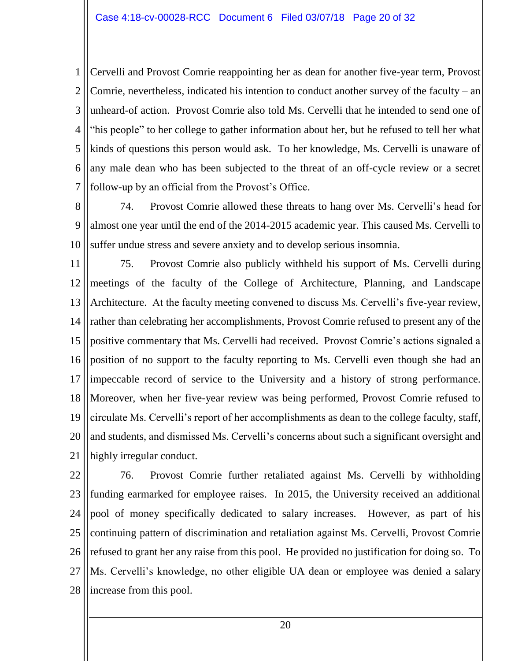1 2 3 4 5 6 7 Cervelli and Provost Comrie reappointing her as dean for another five-year term, Provost Comrie, nevertheless, indicated his intention to conduct another survey of the faculty – an unheard-of action. Provost Comrie also told Ms. Cervelli that he intended to send one of "his people" to her college to gather information about her, but he refused to tell her what kinds of questions this person would ask. To her knowledge, Ms. Cervelli is unaware of any male dean who has been subjected to the threat of an off-cycle review or a secret follow-up by an official from the Provost's Office.

8 9 10 74. Provost Comrie allowed these threats to hang over Ms. Cervelli's head for almost one year until the end of the 2014-2015 academic year. This caused Ms. Cervelli to suffer undue stress and severe anxiety and to develop serious insomnia.

11 12 13 14 15 16 17 18 19 20 21 75. Provost Comrie also publicly withheld his support of Ms. Cervelli during meetings of the faculty of the College of Architecture, Planning, and Landscape Architecture. At the faculty meeting convened to discuss Ms. Cervelli's five-year review, rather than celebrating her accomplishments, Provost Comrie refused to present any of the positive commentary that Ms. Cervelli had received. Provost Comrie's actions signaled a position of no support to the faculty reporting to Ms. Cervelli even though she had an impeccable record of service to the University and a history of strong performance. Moreover, when her five-year review was being performed, Provost Comrie refused to circulate Ms. Cervelli's report of her accomplishments as dean to the college faculty, staff, and students, and dismissed Ms. Cervelli's concerns about such a significant oversight and highly irregular conduct.

22 23 24 25 26 27 28 76. Provost Comrie further retaliated against Ms. Cervelli by withholding funding earmarked for employee raises. In 2015, the University received an additional pool of money specifically dedicated to salary increases. However, as part of his continuing pattern of discrimination and retaliation against Ms. Cervelli, Provost Comrie refused to grant her any raise from this pool. He provided no justification for doing so. To Ms. Cervelli's knowledge, no other eligible UA dean or employee was denied a salary increase from this pool.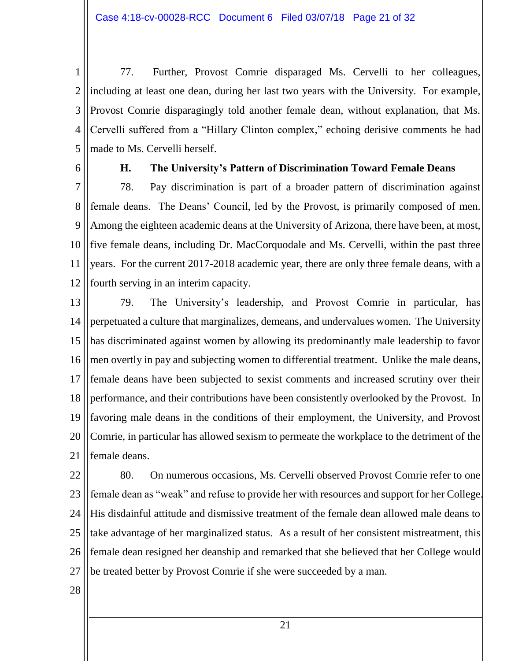1 2 3 4 5 77. Further, Provost Comrie disparaged Ms. Cervelli to her colleagues, including at least one dean, during her last two years with the University. For example, Provost Comrie disparagingly told another female dean, without explanation, that Ms. Cervelli suffered from a "Hillary Clinton complex," echoing derisive comments he had made to Ms. Cervelli herself.

6

#### **H. The University's Pattern of Discrimination Toward Female Deans**

7 8 9 10 11 12 78. Pay discrimination is part of a broader pattern of discrimination against female deans. The Deans' Council, led by the Provost, is primarily composed of men. Among the eighteen academic deans at the University of Arizona, there have been, at most, five female deans, including Dr. MacCorquodale and Ms. Cervelli, within the past three years. For the current 2017-2018 academic year, there are only three female deans, with a fourth serving in an interim capacity.

13 14 15 16 17 18 19 20 21 79. The University's leadership, and Provost Comrie in particular, has perpetuated a culture that marginalizes, demeans, and undervalues women. The University has discriminated against women by allowing its predominantly male leadership to favor men overtly in pay and subjecting women to differential treatment. Unlike the male deans, female deans have been subjected to sexist comments and increased scrutiny over their performance, and their contributions have been consistently overlooked by the Provost. In favoring male deans in the conditions of their employment, the University, and Provost Comrie, in particular has allowed sexism to permeate the workplace to the detriment of the female deans.

22 23 24 25 26 27 80. On numerous occasions, Ms. Cervelli observed Provost Comrie refer to one female dean as "weak" and refuse to provide her with resources and support for her College. His disdainful attitude and dismissive treatment of the female dean allowed male deans to take advantage of her marginalized status. As a result of her consistent mistreatment, this female dean resigned her deanship and remarked that she believed that her College would be treated better by Provost Comrie if she were succeeded by a man.

28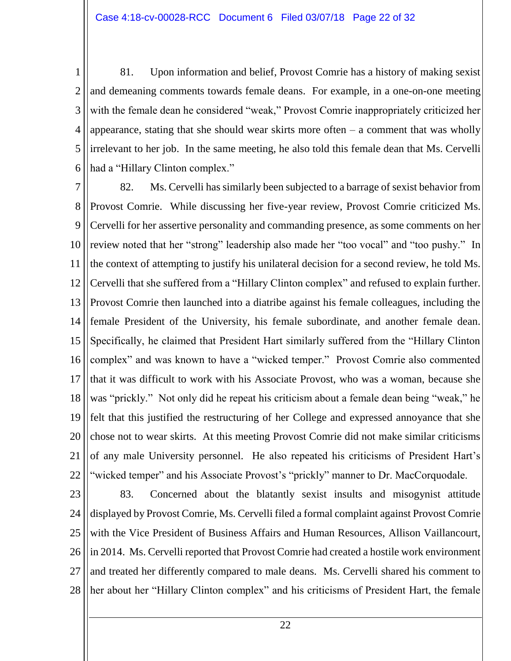1 2 3 4 5 6 81. Upon information and belief, Provost Comrie has a history of making sexist and demeaning comments towards female deans. For example, in a one-on-one meeting with the female dean he considered "weak," Provost Comrie inappropriately criticized her appearance, stating that she should wear skirts more often  $-$  a comment that was wholly irrelevant to her job. In the same meeting, he also told this female dean that Ms. Cervelli had a "Hillary Clinton complex."

7 8 9 10 11 12 13 14 15 16 17 18 19 20 21 22 82. Ms. Cervelli has similarly been subjected to a barrage of sexist behavior from Provost Comrie. While discussing her five-year review, Provost Comrie criticized Ms. Cervelli for her assertive personality and commanding presence, as some comments on her review noted that her "strong" leadership also made her "too vocal" and "too pushy." In the context of attempting to justify his unilateral decision for a second review, he told Ms. Cervelli that she suffered from a "Hillary Clinton complex" and refused to explain further. Provost Comrie then launched into a diatribe against his female colleagues, including the female President of the University, his female subordinate, and another female dean. Specifically, he claimed that President Hart similarly suffered from the "Hillary Clinton complex" and was known to have a "wicked temper." Provost Comrie also commented that it was difficult to work with his Associate Provost, who was a woman, because she was "prickly." Not only did he repeat his criticism about a female dean being "weak," he felt that this justified the restructuring of her College and expressed annoyance that she chose not to wear skirts. At this meeting Provost Comrie did not make similar criticisms of any male University personnel. He also repeated his criticisms of President Hart's "wicked temper" and his Associate Provost's "prickly" manner to Dr. MacCorquodale.

23 24 25 26 27 28 83. Concerned about the blatantly sexist insults and misogynist attitude displayed by Provost Comrie, Ms. Cervelli filed a formal complaint against Provost Comrie with the Vice President of Business Affairs and Human Resources, Allison Vaillancourt, in 2014. Ms. Cervelli reported that Provost Comrie had created a hostile work environment and treated her differently compared to male deans. Ms. Cervelli shared his comment to her about her "Hillary Clinton complex" and his criticisms of President Hart, the female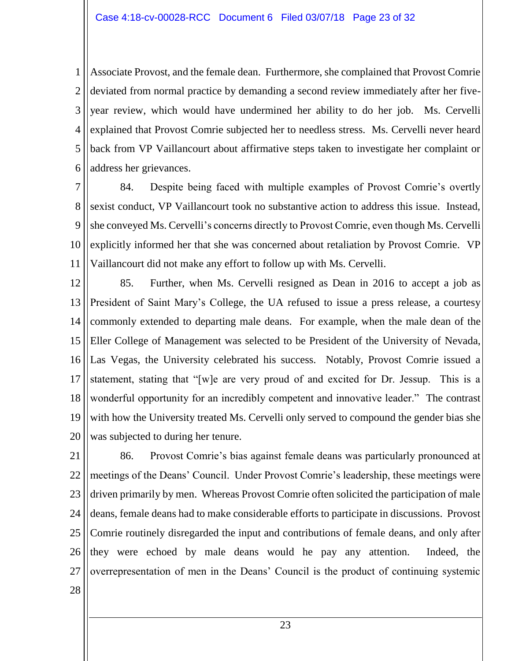1 2 3 4 5 6 Associate Provost, and the female dean. Furthermore, she complained that Provost Comrie deviated from normal practice by demanding a second review immediately after her fiveyear review, which would have undermined her ability to do her job. Ms. Cervelli explained that Provost Comrie subjected her to needless stress. Ms. Cervelli never heard back from VP Vaillancourt about affirmative steps taken to investigate her complaint or address her grievances.

7 8 9 10 11 84. Despite being faced with multiple examples of Provost Comrie's overtly sexist conduct, VP Vaillancourt took no substantive action to address this issue. Instead, she conveyed Ms. Cervelli's concerns directly to Provost Comrie, even though Ms. Cervelli explicitly informed her that she was concerned about retaliation by Provost Comrie. VP Vaillancourt did not make any effort to follow up with Ms. Cervelli.

12 13 14 15 16 17 18 19 20 85. Further, when Ms. Cervelli resigned as Dean in 2016 to accept a job as President of Saint Mary's College, the UA refused to issue a press release, a courtesy commonly extended to departing male deans. For example, when the male dean of the Eller College of Management was selected to be President of the University of Nevada, Las Vegas, the University celebrated his success. Notably, Provost Comrie issued a statement, stating that "[w]e are very proud of and excited for Dr. Jessup. This is a wonderful opportunity for an incredibly competent and innovative leader." The contrast with how the University treated Ms. Cervelli only served to compound the gender bias she was subjected to during her tenure.

21 22 23 24 25 26 27 86. Provost Comrie's bias against female deans was particularly pronounced at meetings of the Deans' Council. Under Provost Comrie's leadership, these meetings were driven primarily by men. Whereas Provost Comrie often solicited the participation of male deans, female deans had to make considerable efforts to participate in discussions. Provost Comrie routinely disregarded the input and contributions of female deans, and only after they were echoed by male deans would he pay any attention. Indeed, the overrepresentation of men in the Deans' Council is the product of continuing systemic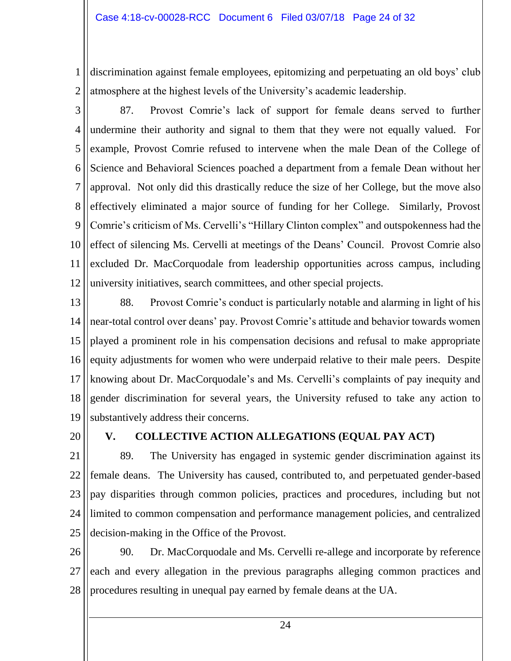1 2 discrimination against female employees, epitomizing and perpetuating an old boys' club atmosphere at the highest levels of the University's academic leadership.

3 4 5 6 7 8 9 10 11 12 87. Provost Comrie's lack of support for female deans served to further undermine their authority and signal to them that they were not equally valued. For example, Provost Comrie refused to intervene when the male Dean of the College of Science and Behavioral Sciences poached a department from a female Dean without her approval. Not only did this drastically reduce the size of her College, but the move also effectively eliminated a major source of funding for her College. Similarly, Provost Comrie's criticism of Ms. Cervelli's "Hillary Clinton complex" and outspokenness had the effect of silencing Ms. Cervelli at meetings of the Deans' Council. Provost Comrie also excluded Dr. MacCorquodale from leadership opportunities across campus, including university initiatives, search committees, and other special projects.

13 14 15 16 17 18 19 88. Provost Comrie's conduct is particularly notable and alarming in light of his near-total control over deans' pay. Provost Comrie's attitude and behavior towards women played a prominent role in his compensation decisions and refusal to make appropriate equity adjustments for women who were underpaid relative to their male peers. Despite knowing about Dr. MacCorquodale's and Ms. Cervelli's complaints of pay inequity and gender discrimination for several years, the University refused to take any action to substantively address their concerns.

20

#### **V. COLLECTIVE ACTION ALLEGATIONS (EQUAL PAY ACT)**

21 22 23 24 25 89. The University has engaged in systemic gender discrimination against its female deans. The University has caused, contributed to, and perpetuated gender-based pay disparities through common policies, practices and procedures, including but not limited to common compensation and performance management policies, and centralized decision-making in the Office of the Provost.

26 27 28 90. Dr. MacCorquodale and Ms. Cervelli re-allege and incorporate by reference each and every allegation in the previous paragraphs alleging common practices and procedures resulting in unequal pay earned by female deans at the UA.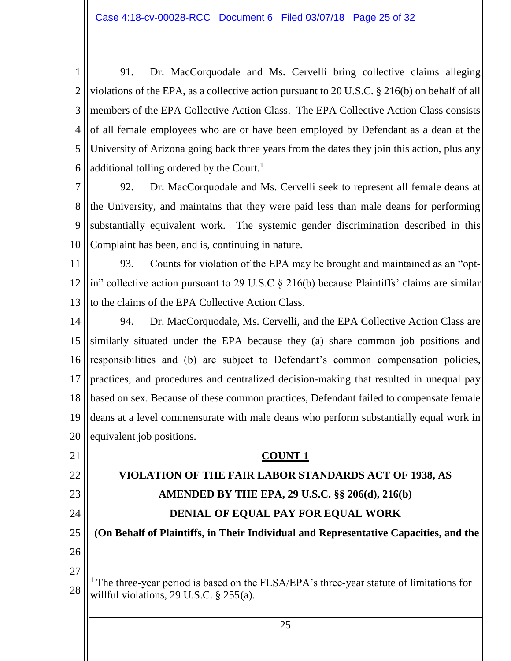1 2 3 4 5 6 91. Dr. MacCorquodale and Ms. Cervelli bring collective claims alleging violations of the EPA, as a collective action pursuant to 20 U.S.C. § 216(b) on behalf of all members of the EPA Collective Action Class. The EPA Collective Action Class consists of all female employees who are or have been employed by Defendant as a dean at the University of Arizona going back three years from the dates they join this action, plus any additional tolling ordered by the Court.<sup>1</sup>

7 8 9 10 92. Dr. MacCorquodale and Ms. Cervelli seek to represent all female deans at the University, and maintains that they were paid less than male deans for performing substantially equivalent work. The systemic gender discrimination described in this Complaint has been, and is, continuing in nature.

- 11 12 13 93. Counts for violation of the EPA may be brought and maintained as an "optin" collective action pursuant to 29 U.S.C § 216(b) because Plaintiffs' claims are similar to the claims of the EPA Collective Action Class.
- 14 15 16 17 18 19 20 94. Dr. MacCorquodale, Ms. Cervelli, and the EPA Collective Action Class are similarly situated under the EPA because they (a) share common job positions and responsibilities and (b) are subject to Defendant's common compensation policies, practices, and procedures and centralized decision-making that resulted in unequal pay based on sex. Because of these common practices, Defendant failed to compensate female deans at a level commensurate with male deans who perform substantially equal work in equivalent job positions.

#### 21 22 23 24 25 26 27 28 **COUNT 1 VIOLATION OF THE FAIR LABOR STANDARDS ACT OF 1938, AS AMENDED BY THE EPA, 29 U.S.C. §§ 206(d), 216(b) DENIAL OF EQUAL PAY FOR EQUAL WORK (On Behalf of Plaintiffs, in Their Individual and Representative Capacities, and the**   $\overline{a}$  $<sup>1</sup>$  The three-year period is based on the FLSA/EPA's three-year statute of limitations for</sup> willful violations, 29 U.S.C. § 255(a).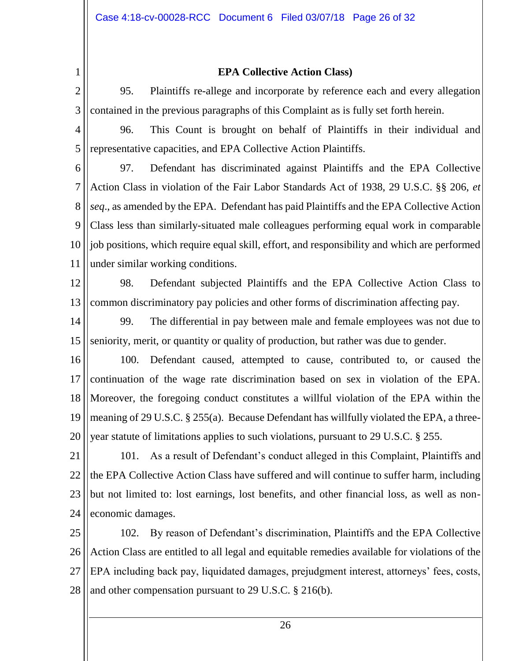1

#### **EPA Collective Action Class)**

2 3 95. Plaintiffs re-allege and incorporate by reference each and every allegation contained in the previous paragraphs of this Complaint as is fully set forth herein.

4 5 96. This Count is brought on behalf of Plaintiffs in their individual and representative capacities, and EPA Collective Action Plaintiffs.

6

7 8 9 10 11 97. Defendant has discriminated against Plaintiffs and the EPA Collective Action Class in violation of the Fair Labor Standards Act of 1938, 29 U.S.C. §§ 206, *et seq*., as amended by the EPA. Defendant has paid Plaintiffs and the EPA Collective Action Class less than similarly-situated male colleagues performing equal work in comparable job positions, which require equal skill, effort, and responsibility and which are performed under similar working conditions.

12

13 98. Defendant subjected Plaintiffs and the EPA Collective Action Class to common discriminatory pay policies and other forms of discrimination affecting pay.

- 14 15 99. The differential in pay between male and female employees was not due to seniority, merit, or quantity or quality of production, but rather was due to gender.
- 16 17 18 19 20 100. Defendant caused, attempted to cause, contributed to, or caused the continuation of the wage rate discrimination based on sex in violation of the EPA. Moreover, the foregoing conduct constitutes a willful violation of the EPA within the meaning of 29 U.S.C. § 255(a). Because Defendant has willfully violated the EPA, a threeyear statute of limitations applies to such violations, pursuant to 29 U.S.C. § 255.

21 22 23 24 101. As a result of Defendant's conduct alleged in this Complaint, Plaintiffs and the EPA Collective Action Class have suffered and will continue to suffer harm, including but not limited to: lost earnings, lost benefits, and other financial loss, as well as noneconomic damages.

25 26 27 28 102. By reason of Defendant's discrimination, Plaintiffs and the EPA Collective Action Class are entitled to all legal and equitable remedies available for violations of the EPA including back pay, liquidated damages, prejudgment interest, attorneys' fees, costs, and other compensation pursuant to 29 U.S.C. § 216(b).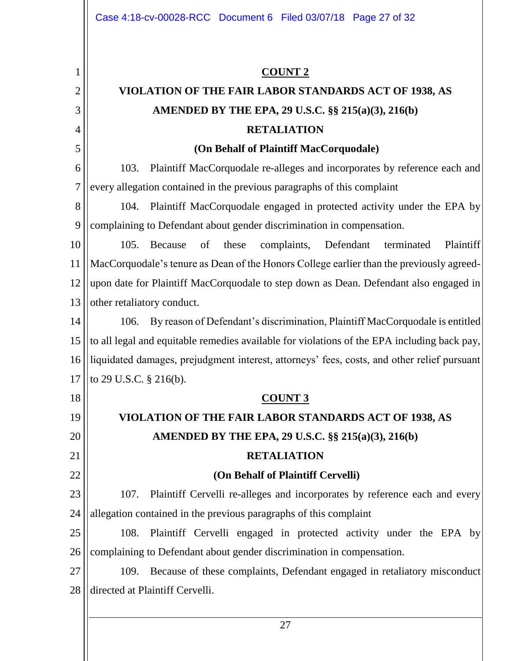1 2 3 4 5 6 7 8 9 10 11 12 13 14 15 16 17 18 19 20 21 22 23 24 25 26 27 28 **COUNT 2 VIOLATION OF THE FAIR LABOR STANDARDS ACT OF 1938, AS AMENDED BY THE EPA, 29 U.S.C. §§ 215(a)(3), 216(b) RETALIATION (On Behalf of Plaintiff MacCorquodale)** 103. Plaintiff MacCorquodale re-alleges and incorporates by reference each and every allegation contained in the previous paragraphs of this complaint 104. Plaintiff MacCorquodale engaged in protected activity under the EPA by complaining to Defendant about gender discrimination in compensation. 105. Because of these complaints, Defendant terminated Plaintiff MacCorquodale's tenure as Dean of the Honors College earlier than the previously agreedupon date for Plaintiff MacCorquodale to step down as Dean. Defendant also engaged in other retaliatory conduct. 106. By reason of Defendant's discrimination, Plaintiff MacCorquodale is entitled to all legal and equitable remedies available for violations of the EPA including back pay, liquidated damages, prejudgment interest, attorneys' fees, costs, and other relief pursuant to 29 U.S.C. § 216(b). **COUNT 3 VIOLATION OF THE FAIR LABOR STANDARDS ACT OF 1938, AS AMENDED BY THE EPA, 29 U.S.C. §§ 215(a)(3), 216(b) RETALIATION (On Behalf of Plaintiff Cervelli)** 107. Plaintiff Cervelli re-alleges and incorporates by reference each and every allegation contained in the previous paragraphs of this complaint 108. Plaintiff Cervelli engaged in protected activity under the EPA by complaining to Defendant about gender discrimination in compensation. 109. Because of these complaints, Defendant engaged in retaliatory misconduct directed at Plaintiff Cervelli. Case 4:18-cv-00028-RCC Document 6 Filed 03/07/18 Page 27 of 32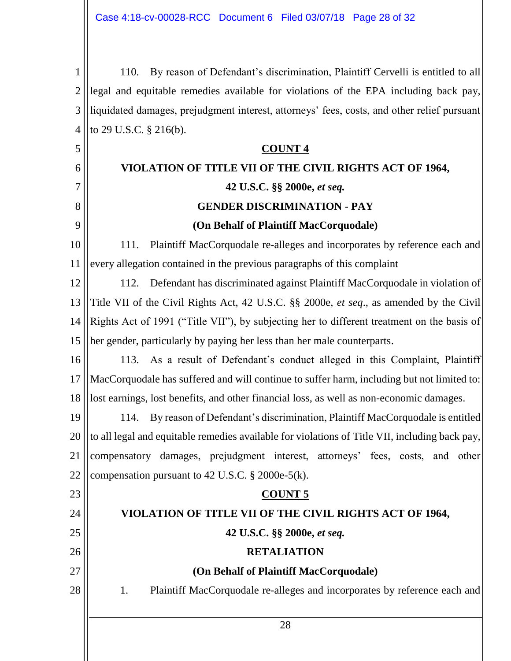1 2 3 4 110. By reason of Defendant's discrimination, Plaintiff Cervelli is entitled to all legal and equitable remedies available for violations of the EPA including back pay, liquidated damages, prejudgment interest, attorneys' fees, costs, and other relief pursuant to 29 U.S.C. § 216(b).

#### 5 6 7 8 9 10 11 12 13 14 15 16 17 18 19 20 21 22 **COUNT 4 VIOLATION OF TITLE VII OF THE CIVIL RIGHTS ACT OF 1964, 42 U.S.C. §§ 2000e,** *et seq.* **GENDER DISCRIMINATION - PAY (On Behalf of Plaintiff MacCorquodale)** 111. Plaintiff MacCorquodale re-alleges and incorporates by reference each and every allegation contained in the previous paragraphs of this complaint 112. Defendant has discriminated against Plaintiff MacCorquodale in violation of Title VII of the Civil Rights Act, 42 U.S.C. §§ 2000e, *et seq*., as amended by the Civil Rights Act of 1991 ("Title VII"), by subjecting her to different treatment on the basis of her gender, particularly by paying her less than her male counterparts. 113. As a result of Defendant's conduct alleged in this Complaint, Plaintiff MacCorquodale has suffered and will continue to suffer harm, including but not limited to: lost earnings, lost benefits, and other financial loss, as well as non-economic damages. 114. By reason of Defendant's discrimination, Plaintiff MacCorquodale is entitled to all legal and equitable remedies available for violations of Title VII, including back pay, compensatory damages, prejudgment interest, attorneys' fees, costs, and other compensation pursuant to 42 U.S.C. § 2000e-5(k).

#### **COUNT 5**

# **VIOLATION OF TITLE VII OF THE CIVIL RIGHTS ACT OF 1964,**

23

24

25

26

27

28

**42 U.S.C. §§ 2000e,** *et seq.*

# **RETALIATION**

# **(On Behalf of Plaintiff MacCorquodale)**

1. Plaintiff MacCorquodale re-alleges and incorporates by reference each and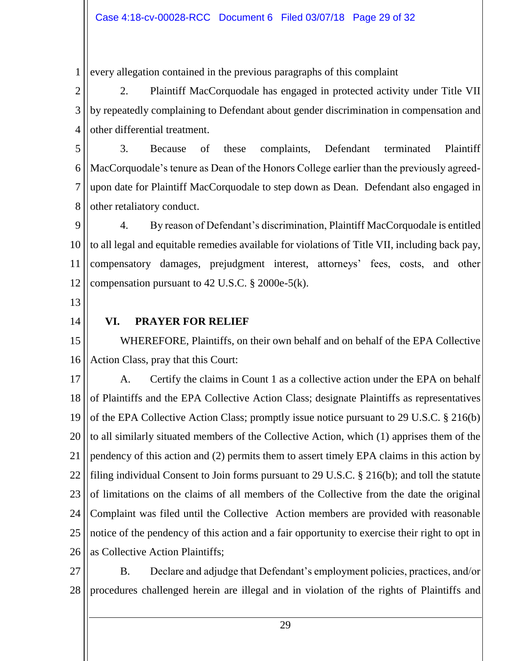1 every allegation contained in the previous paragraphs of this complaint

2 3 4 2. Plaintiff MacCorquodale has engaged in protected activity under Title VII by repeatedly complaining to Defendant about gender discrimination in compensation and other differential treatment.

5 6 7 8 3. Because of these complaints, Defendant terminated Plaintiff MacCorquodale's tenure as Dean of the Honors College earlier than the previously agreedupon date for Plaintiff MacCorquodale to step down as Dean. Defendant also engaged in other retaliatory conduct.

9 10 11 12 4. By reason of Defendant's discrimination, Plaintiff MacCorquodale is entitled to all legal and equitable remedies available for violations of Title VII, including back pay, compensatory damages, prejudgment interest, attorneys' fees, costs, and other compensation pursuant to 42 U.S.C.  $\S$  2000e-5(k).

- 13
- 14

#### **VI. PRAYER FOR RELIEF**

15 16 WHEREFORE, Plaintiffs, on their own behalf and on behalf of the EPA Collective Action Class, pray that this Court:

17 18 19 20 21 22 23 24 25 26 A. Certify the claims in Count 1 as a collective action under the EPA on behalf of Plaintiffs and the EPA Collective Action Class; designate Plaintiffs as representatives of the EPA Collective Action Class; promptly issue notice pursuant to 29 U.S.C. § 216(b) to all similarly situated members of the Collective Action, which (1) apprises them of the pendency of this action and (2) permits them to assert timely EPA claims in this action by filing individual Consent to Join forms pursuant to 29 U.S.C. § 216(b); and toll the statute of limitations on the claims of all members of the Collective from the date the original Complaint was filed until the Collective Action members are provided with reasonable notice of the pendency of this action and a fair opportunity to exercise their right to opt in as Collective Action Plaintiffs;

27 28 B. Declare and adjudge that Defendant's employment policies, practices, and/or procedures challenged herein are illegal and in violation of the rights of Plaintiffs and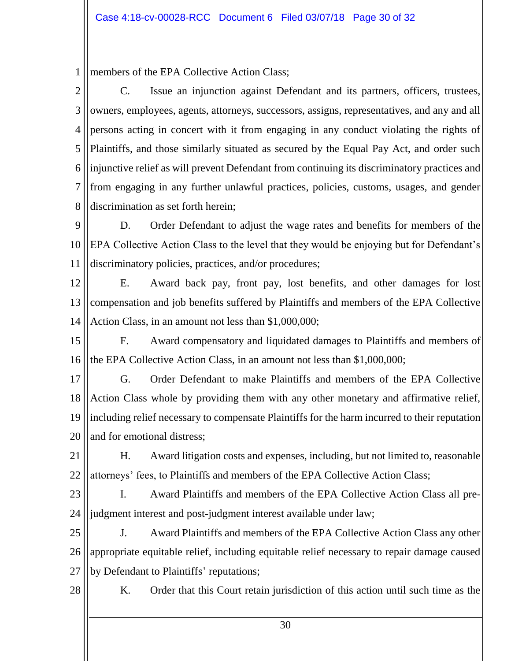1 members of the EPA Collective Action Class;

2 3 4 5 6 7 8 C. Issue an injunction against Defendant and its partners, officers, trustees, owners, employees, agents, attorneys, successors, assigns, representatives, and any and all persons acting in concert with it from engaging in any conduct violating the rights of Plaintiffs, and those similarly situated as secured by the Equal Pay Act, and order such injunctive relief as will prevent Defendant from continuing its discriminatory practices and from engaging in any further unlawful practices, policies, customs, usages, and gender discrimination as set forth herein;

9 10 11 D. Order Defendant to adjust the wage rates and benefits for members of the EPA Collective Action Class to the level that they would be enjoying but for Defendant's discriminatory policies, practices, and/or procedures;

12 13 14 E. Award back pay, front pay, lost benefits, and other damages for lost compensation and job benefits suffered by Plaintiffs and members of the EPA Collective Action Class, in an amount not less than \$1,000,000;

15 16 F. Award compensatory and liquidated damages to Plaintiffs and members of the EPA Collective Action Class, in an amount not less than \$1,000,000;

17 18 19 20 G. Order Defendant to make Plaintiffs and members of the EPA Collective Action Class whole by providing them with any other monetary and affirmative relief, including relief necessary to compensate Plaintiffs for the harm incurred to their reputation and for emotional distress;

21 22 H. Award litigation costs and expenses, including, but not limited to, reasonable attorneys' fees, to Plaintiffs and members of the EPA Collective Action Class;

23 24 I. Award Plaintiffs and members of the EPA Collective Action Class all prejudgment interest and post-judgment interest available under law;

25 26 27 J. Award Plaintiffs and members of the EPA Collective Action Class any other appropriate equitable relief, including equitable relief necessary to repair damage caused by Defendant to Plaintiffs' reputations;

28

K. Order that this Court retain jurisdiction of this action until such time as the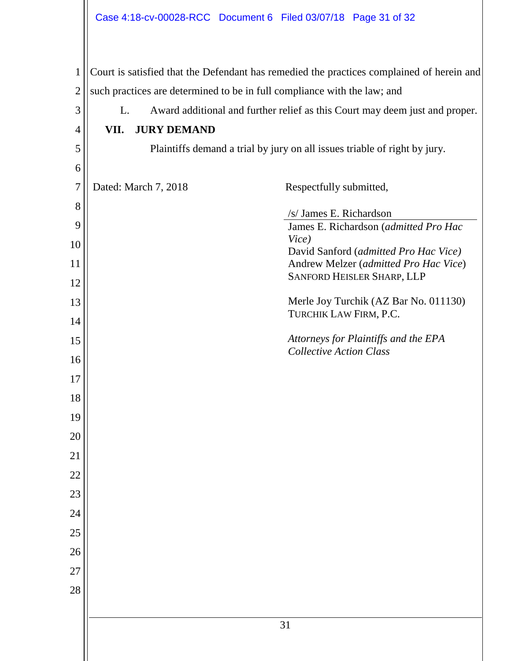| $\mathbf{1}$   |                                                                          |                      | Court is satisfied that the Defendant has remedied the practices complained of herein and |  |
|----------------|--------------------------------------------------------------------------|----------------------|-------------------------------------------------------------------------------------------|--|
| $\overline{2}$ | such practices are determined to be in full compliance with the law; and |                      |                                                                                           |  |
| 3              | L.                                                                       |                      | Award additional and further relief as this Court may deem just and proper.               |  |
| 4              | VII.                                                                     | <b>JURY DEMAND</b>   |                                                                                           |  |
| 5              |                                                                          |                      | Plaintiffs demand a trial by jury on all issues triable of right by jury.                 |  |
| 6              |                                                                          |                      |                                                                                           |  |
| 7              |                                                                          | Dated: March 7, 2018 | Respectfully submitted,                                                                   |  |
| 8              |                                                                          |                      | /s/ James E. Richardson                                                                   |  |
| 9              |                                                                          |                      | James E. Richardson (admitted Pro Hac                                                     |  |
| 10             |                                                                          |                      | Vice)<br>David Sanford (admitted Pro Hac Vice)                                            |  |
| 11             |                                                                          |                      | Andrew Melzer (admitted Pro Hac Vice)<br>SANFORD HEISLER SHARP, LLP                       |  |
| 12             |                                                                          |                      |                                                                                           |  |
| 13             |                                                                          |                      | Merle Joy Turchik (AZ Bar No. 011130)<br>TURCHIK LAW FIRM, P.C.                           |  |
| 14             |                                                                          |                      |                                                                                           |  |
| 15             |                                                                          |                      | Attorneys for Plaintiffs and the EPA<br><b>Collective Action Class</b>                    |  |
| 16             |                                                                          |                      |                                                                                           |  |
| 17             |                                                                          |                      |                                                                                           |  |
| 18<br>19       |                                                                          |                      |                                                                                           |  |
| 20             |                                                                          |                      |                                                                                           |  |
| 21             |                                                                          |                      |                                                                                           |  |
| 22             |                                                                          |                      |                                                                                           |  |
| 23             |                                                                          |                      |                                                                                           |  |
| 24             |                                                                          |                      |                                                                                           |  |
| 25             |                                                                          |                      |                                                                                           |  |
| 26             |                                                                          |                      |                                                                                           |  |
| 27             |                                                                          |                      |                                                                                           |  |
| 28             |                                                                          |                      |                                                                                           |  |
|                |                                                                          |                      |                                                                                           |  |
|                | 31                                                                       |                      |                                                                                           |  |
|                |                                                                          |                      |                                                                                           |  |